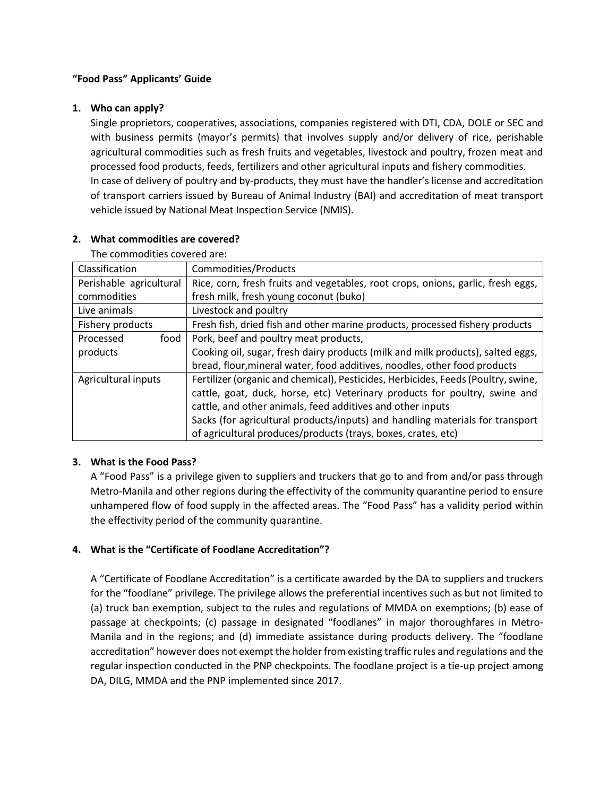### **"Food Pass" Applicants' Guide**

### **1. Who can apply?**

Single proprietors, cooperatives, associations, companies registered with DTI, CDA, DOLE or SEC and with business permits (mayor's permits) that involves supply and/or delivery of rice, perishable agricultural commodities such as fresh fruits and vegetables, livestock and poultry, frozen meat and processed food products, feeds, fertilizers and other agricultural inputs and fishery commodities. In case of delivery of poultry and by-products, they must have the handler's license and accreditation of transport carriers issued by Bureau of Animal Industry (BAI) and accreditation of meat transport vehicle issued by National Meat Inspection Service (NMIS).

| The commodities covered are: |                                                                                   |
|------------------------------|-----------------------------------------------------------------------------------|
| Classification               | Commodities/Products                                                              |
| Perishable agricultural      | Rice, corn, fresh fruits and vegetables, root crops, onions, garlic, fresh eggs,  |
| commodities                  | fresh milk, fresh young coconut (buko)                                            |
| Live animals                 | Livestock and poultry                                                             |
| Fishery products             | Fresh fish, dried fish and other marine products, processed fishery products      |
| food<br>Processed            | Pork, beef and poultry meat products,                                             |
| products                     | Cooking oil, sugar, fresh dairy products (milk and milk products), salted eggs,   |
|                              | bread, flour, mineral water, food additives, noodles, other food products         |
| Agricultural inputs          | Fertilizer (organic and chemical), Pesticides, Herbicides, Feeds (Poultry, swine, |
|                              | cattle, goat, duck, horse, etc) Veterinary products for poultry, swine and        |
|                              | cattle, and other animals, feed additives and other inputs                        |
|                              | Sacks (for agricultural products/inputs) and handling materials for transport     |
|                              | of agricultural produces/products (trays, boxes, crates, etc)                     |

#### **2. What commodities are covered?**

#### **3. What is the Food Pass?**

A "Food Pass" is a privilege given to suppliers and truckers that go to and from and/or pass through Metro-Manila and other regions during the effectivity of the community quarantine period to ensure unhampered flow of food supply in the affected areas. The "Food Pass" has a validity period within the effectivity period of the community quarantine.

# **4. What is the "Certificate of Foodlane Accreditation"?**

A "Certificate of Foodlane Accreditation" is a certificate awarded by the DA to suppliers and truckers for the "foodlane" privilege. The privilege allows the preferential incentives such as but not limited to (a) truck ban exemption, subject to the rules and regulations of MMDA on exemptions; (b) ease of passage at checkpoints; (c) passage in designated "foodlanes" in major thoroughfares in Metro-Manila and in the regions; and (d) immediate assistance during products delivery. The "foodlane accreditation" however does not exempt the holder from existing traffic rules and regulations and the regular inspection conducted in the PNP checkpoints. The foodlane project is a tie-up project among DA, DILG, MMDA and the PNP implemented since 2017.